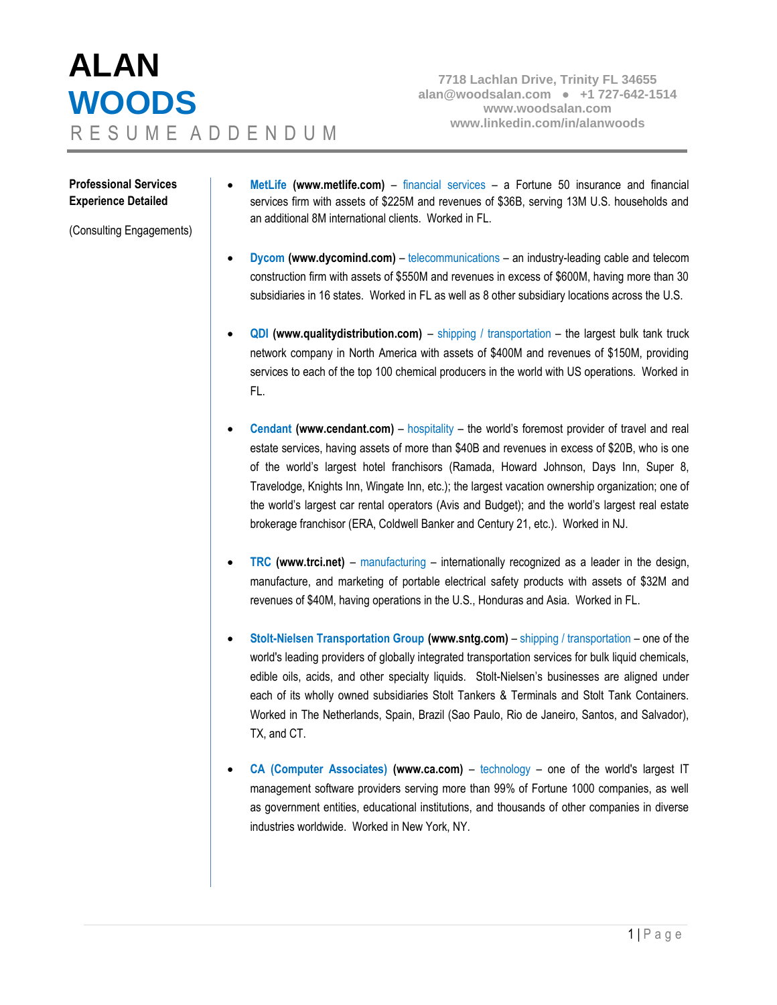## **ALAN WOODS www.linkedin.com/in/alanwoods** R E S U M E A D D E N D U M

**7718 Lachlan Drive, Trinity FL 34655 [alan@woodsalan.com](mailto:alan@woodsalan.com) ● +1 727-642-1514 [www.woodsalan.com](http://www.woodsalan.com/)**

## **Professional Services Experience Detailed**

(Consulting Engagements)

- **MetLife [\(www.metlife.com\)](http://www.metlife.com/)** financial services a Fortune 50 insurance and financial services firm with assets of \$225M and revenues of \$36B, serving 13M U.S. households and an additional 8M international clients. Worked in FL.
- **Dycom** [\(www.dycomind.com\)](http://www.dycomind.com/) telecommunications an industry-leading cable and telecom construction firm with assets of \$550M and revenues in excess of \$600M, having more than 30 subsidiaries in 16 states. Worked in FL as well as 8 other subsidiary locations across the U.S.
- **QDI** [\(www.qualitydistribution.com\)](http://www.qualitydistribution.com/) shipping / transportation the largest bulk tank truck network company in North America with assets of \$400M and revenues of \$150M, providing services to each of the top 100 chemical producers in the world with US operations. Worked in FL.
- **Cendant [\(www.cendant.com\)](http://www.cendant.com/) hospitality the world's foremost provider of travel and real** estate services, having assets of more than \$40B and revenues in excess of \$20B, who is one of the world's largest hotel franchisors (Ramada, Howard Johnson, Days Inn, Super 8, Travelodge, Knights Inn, Wingate Inn, etc.); the largest vacation ownership organization; one of the world's largest car rental operators (Avis and Budget); and the world's largest real estate brokerage franchisor (ERA, Coldwell Banker and Century 21, etc.). Worked in NJ.
- **TRC [\(www.trci.net\)](http://www.trci.net/)** manufacturing internationally recognized as a leader in the design, manufacture, and marketing of portable electrical safety products with assets of \$32M and revenues of \$40M, having operations in the U.S., Honduras and Asia. Worked in FL.
- **Stolt-Nielsen Transportation Group [\(www.sntg.com\)](http://www.sntg.com/)**  shipping / transportation one of the world's leading providers of globally integrated transportation services for bulk liquid chemicals, edible oils, acids, and other specialty liquids. Stolt-Nielsen's businesses are aligned under each of its wholly owned subsidiaries Stolt Tankers & Terminals and Stolt Tank Containers. Worked in The Netherlands, Spain, Brazil (Sao Paulo, Rio de Janeiro, Santos, and Salvador), TX, and CT.
- **CA (Computer Associates) [\(www.ca.com\)](http://www.ca.com/)**  technology one of the world's largest IT management software providers serving more than 99% of Fortune 1000 companies, as well as government entities, educational institutions, and thousands of other companies in diverse industries worldwide. Worked in New York, NY.